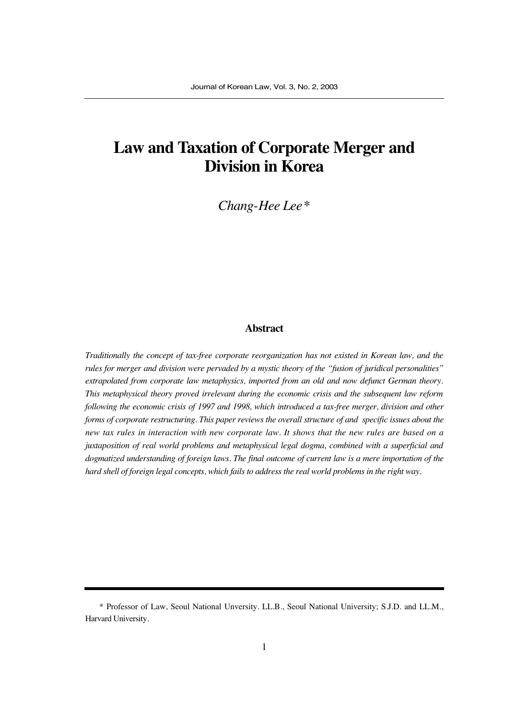# **Law and Taxation of Corporate Merger and Division in Korea**

*Chang-Hee Lee\**

### **Abstract**

*Traditionally the concept of tax-free corporate reorganization has not existed in Korean law, and the rules for merger and division were pervaded by a mystic theory of the "fusion of juridical personalities" extrapolated from corporate law metaphysics, imported from an old and now defunct German theory. This metaphysical theory proved irrelevant during the economic crisis and the subsequent law reform following the economic crisis of 1997 and 1998, which introduced a tax-free merger, division and other forms of corporate restructuring. This paper reviews the overall structure of and specific issues about the new tax rules in interaction with new corporate law. It shows that the new rules are based on a juxtaposition of real world problems and metaphysical legal dogma, combined with a superficial and dogmatized understanding of foreign laws. The final outcome of current law is a mere importation of the hard shell of foreign legal concepts, which fails to address the real world problems in the right way.* 

<sup>\*</sup> Professor of Law, Seoul National Unversity. LL.B., Seoul National University; S.J.D. and LL.M., Harvard University.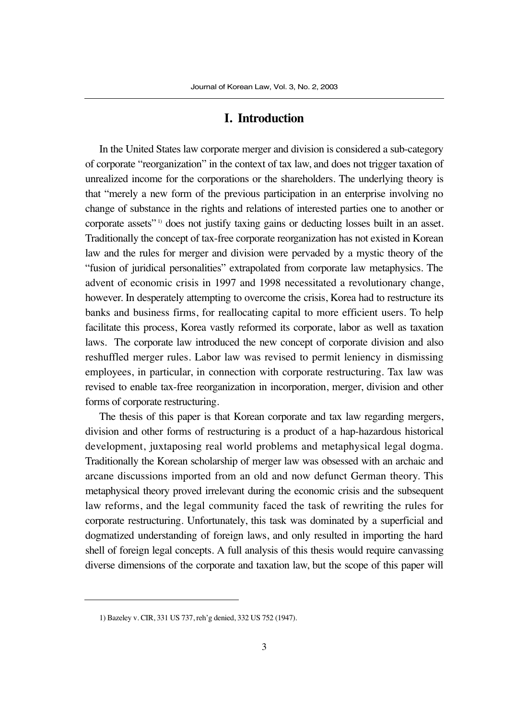#### **I. Introduction**

In the United States law corporate merger and division is considered a sub-category of corporate "reorganization" in the context of tax law, and does not trigger taxation of unrealized income for the corporations or the shareholders. The underlying theory is that "merely a new form of the previous participation in an enterprise involving no change of substance in the rights and relations of interested parties one to another or corporate assets"<sup>1)</sup> does not justify taxing gains or deducting losses built in an asset. Traditionally the concept of tax-free corporate reorganization has not existed in Korean law and the rules for merger and division were pervaded by a mystic theory of the "fusion of juridical personalities" extrapolated from corporate law metaphysics. The advent of economic crisis in 1997 and 1998 necessitated a revolutionary change, however. In desperately attempting to overcome the crisis, Korea had to restructure its banks and business firms, for reallocating capital to more efficient users. To help facilitate this process, Korea vastly reformed its corporate, labor as well as taxation laws. The corporate law introduced the new concept of corporate division and also reshuffled merger rules. Labor law was revised to permit leniency in dismissing employees, in particular, in connection with corporate restructuring. Tax law was revised to enable tax-free reorganization in incorporation, merger, division and other forms of corporate restructuring.

The thesis of this paper is that Korean corporate and tax law regarding mergers, division and other forms of restructuring is a product of a hap-hazardous historical development, juxtaposing real world problems and metaphysical legal dogma. Traditionally the Korean scholarship of merger law was obsessed with an archaic and arcane discussions imported from an old and now defunct German theory. This metaphysical theory proved irrelevant during the economic crisis and the subsequent law reforms, and the legal community faced the task of rewriting the rules for corporate restructuring. Unfortunately, this task was dominated by a superficial and dogmatized understanding of foreign laws, and only resulted in importing the hard shell of foreign legal concepts. A full analysis of this thesis would require canvassing diverse dimensions of the corporate and taxation law, but the scope of this paper will

<sup>1)</sup> Bazeley v. CIR, 331 US 737, reh'g denied, 332 US 752 (1947).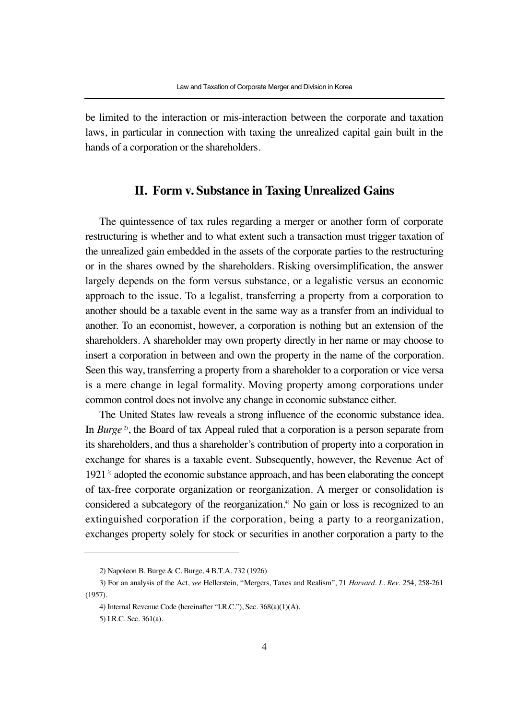be limited to the interaction or mis-interaction between the corporate and taxation laws, in particular in connection with taxing the unrealized capital gain built in the hands of a corporation or the shareholders.

## **II. Form v. Substance in Taxing Unrealized Gains**

The quintessence of tax rules regarding a merger or another form of corporate restructuring is whether and to what extent such a transaction must trigger taxation of the unrealized gain embedded in the assets of the corporate parties to the restructuring or in the shares owned by the shareholders. Risking oversimplification, the answer largely depends on the form versus substance, or a legalistic versus an economic approach to the issue. To a legalist, transferring a property from a corporation to another should be a taxable event in the same way as a transfer from an individual to another. To an economist, however, a corporation is nothing but an extension of the shareholders. A shareholder may own property directly in her name or may choose to insert a corporation in between and own the property in the name of the corporation. Seen this way, transferring a property from a shareholder to a corporation or vice versa is a mere change in legal formality. Moving property among corporations under common control does not involve any change in economic substance either.

The United States law reveals a strong influence of the economic substance idea. In *Burge* 2), the Board of tax Appeal ruled that a corporation is a person separate from its shareholders, and thus a shareholder's contribution of property into a corporation in exchange for shares is a taxable event. Subsequently, however, the Revenue Act of 1921<sup>3</sup> adopted the economic substance approach, and has been elaborating the concept of tax-free corporate organization or reorganization. A merger or consolidation is considered a subcategory of the reorganization.<sup>4)</sup> No gain or loss is recognized to an extinguished corporation if the corporation, being a party to a reorganization, exchanges property solely for stock or securities in another corporation a party to the

<sup>2)</sup> Napoleon B. Burge & C. Burge, 4 B.T.A. 732 (1926)

<sup>3)</sup> For an analysis of the Act, *see* Hellerstein, "Mergers, Taxes and Realism", 71 *Harvard. L. Rev*. 254, 258-261 (1957).

<sup>4)</sup> Internal Revenue Code (hereinafter "I.R.C."), Sec. 368(a)(1)(A).

<sup>5)</sup> I.R.C. Sec. 361(a).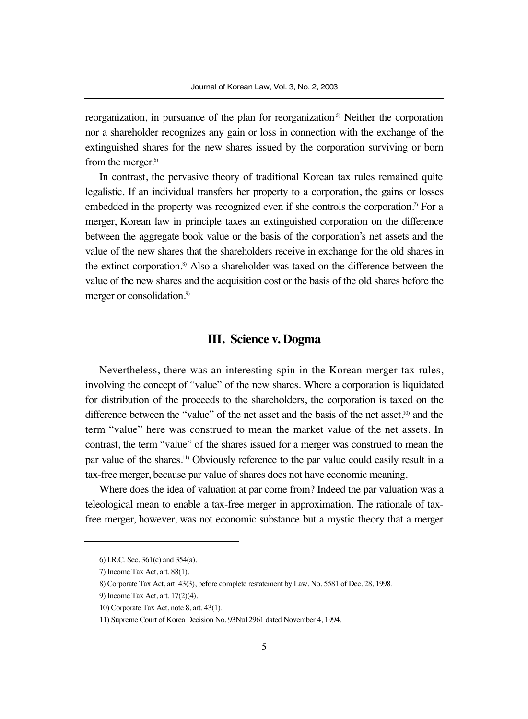reorganization, in pursuance of the plan for reorganization  $\delta$ <sup>5</sup> Neither the corporation nor a shareholder recognizes any gain or loss in connection with the exchange of the extinguished shares for the new shares issued by the corporation surviving or born from the merger.<sup>6)</sup>

In contrast, the pervasive theory of traditional Korean tax rules remained quite legalistic. If an individual transfers her property to a corporation, the gains or losses embedded in the property was recognized even if she controls the corporation.<sup>7)</sup> For a merger, Korean law in principle taxes an extinguished corporation on the difference between the aggregate book value or the basis of the corporation's net assets and the value of the new shares that the shareholders receive in exchange for the old shares in the extinct corporation.8) Also a shareholder was taxed on the difference between the value of the new shares and the acquisition cost or the basis of the old shares before the merger or consolidation.<sup>9)</sup>

# **III. Science v. Dogma**

Nevertheless, there was an interesting spin in the Korean merger tax rules, involving the concept of "value" of the new shares. Where a corporation is liquidated for distribution of the proceeds to the shareholders, the corporation is taxed on the difference between the "value" of the net asset and the basis of the net asset,<sup>10)</sup> and the term "value" here was construed to mean the market value of the net assets. In contrast, the term "value" of the shares issued for a merger was construed to mean the par value of the shares.11) Obviously reference to the par value could easily result in a tax-free merger, because par value of shares does not have economic meaning.

Where does the idea of valuation at par come from? Indeed the par valuation was a teleological mean to enable a tax-free merger in approximation. The rationale of taxfree merger, however, was not economic substance but a mystic theory that a merger

<sup>6)</sup> I.R.C. Sec. 361(c) and 354(a).

<sup>7)</sup> Income Tax Act, art. 88(1).

<sup>8)</sup> Corporate Tax Act, art. 43(3), before complete restatement by Law. No. 5581 of Dec. 28, 1998.

<sup>9)</sup> Income Tax Act, art. 17(2)(4).

<sup>10)</sup> Corporate Tax Act, note 8, art. 43(1).

<sup>11)</sup> Supreme Court of Korea Decision No. 93Nu12961 dated November 4, 1994.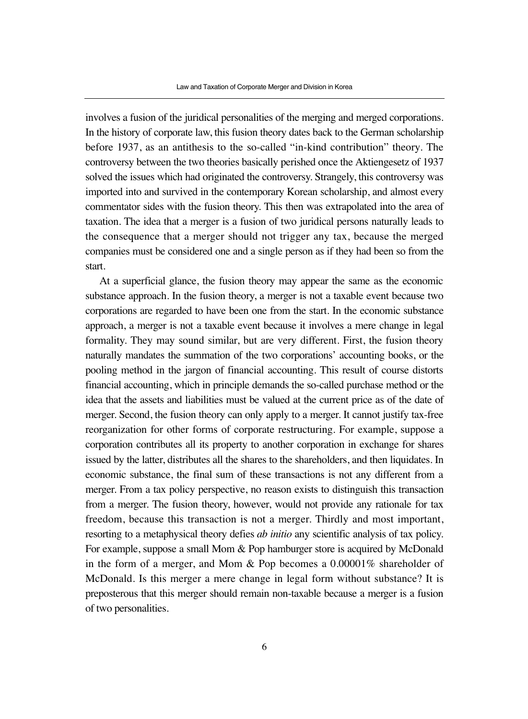involves a fusion of the juridical personalities of the merging and merged corporations. In the history of corporate law, this fusion theory dates back to the German scholarship before 1937, as an antithesis to the so-called "in-kind contribution" theory. The controversy between the two theories basically perished once the Aktiengesetz of 1937 solved the issues which had originated the controversy. Strangely, this controversy was imported into and survived in the contemporary Korean scholarship, and almost every commentator sides with the fusion theory. This then was extrapolated into the area of taxation. The idea that a merger is a fusion of two juridical persons naturally leads to the consequence that a merger should not trigger any tax, because the merged companies must be considered one and a single person as if they had been so from the start.

At a superficial glance, the fusion theory may appear the same as the economic substance approach. In the fusion theory, a merger is not a taxable event because two corporations are regarded to have been one from the start. In the economic substance approach, a merger is not a taxable event because it involves a mere change in legal formality. They may sound similar, but are very different. First, the fusion theory naturally mandates the summation of the two corporations' accounting books, or the pooling method in the jargon of financial accounting. This result of course distorts financial accounting, which in principle demands the so-called purchase method or the idea that the assets and liabilities must be valued at the current price as of the date of merger. Second, the fusion theory can only apply to a merger. It cannot justify tax-free reorganization for other forms of corporate restructuring. For example, suppose a corporation contributes all its property to another corporation in exchange for shares issued by the latter, distributes all the shares to the shareholders, and then liquidates. In economic substance, the final sum of these transactions is not any different from a merger. From a tax policy perspective, no reason exists to distinguish this transaction from a merger. The fusion theory, however, would not provide any rationale for tax freedom, because this transaction is not a merger. Thirdly and most important, resorting to a metaphysical theory defies *ab initio* any scientific analysis of tax policy. For example, suppose a small Mom & Pop hamburger store is acquired by McDonald in the form of a merger, and Mom & Pop becomes a 0.00001% shareholder of McDonald. Is this merger a mere change in legal form without substance? It is preposterous that this merger should remain non-taxable because a merger is a fusion of two personalities.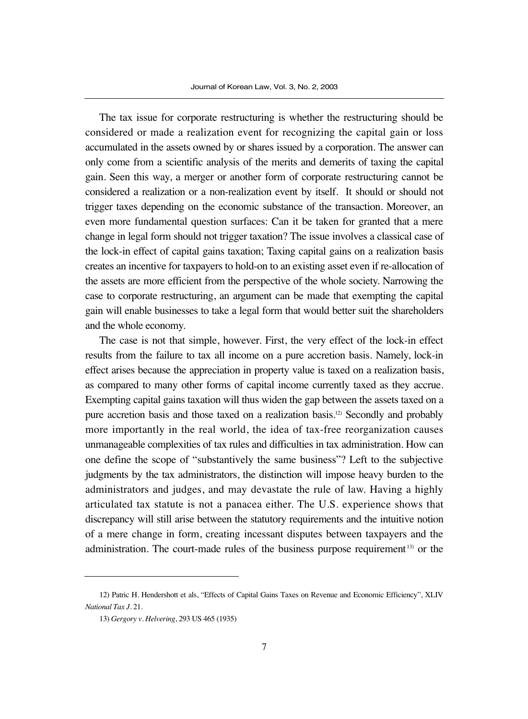The tax issue for corporate restructuring is whether the restructuring should be considered or made a realization event for recognizing the capital gain or loss accumulated in the assets owned by or shares issued by a corporation. The answer can only come from a scientific analysis of the merits and demerits of taxing the capital gain. Seen this way, a merger or another form of corporate restructuring cannot be considered a realization or a non-realization event by itself. It should or should not trigger taxes depending on the economic substance of the transaction. Moreover, an even more fundamental question surfaces: Can it be taken for granted that a mere change in legal form should not trigger taxation? The issue involves a classical case of the lock-in effect of capital gains taxation; Taxing capital gains on a realization basis creates an incentive for taxpayers to hold-on to an existing asset even if re-allocation of the assets are more efficient from the perspective of the whole society. Narrowing the case to corporate restructuring, an argument can be made that exempting the capital gain will enable businesses to take a legal form that would better suit the shareholders and the whole economy.

The case is not that simple, however. First, the very effect of the lock-in effect results from the failure to tax all income on a pure accretion basis. Namely, lock-in effect arises because the appreciation in property value is taxed on a realization basis, as compared to many other forms of capital income currently taxed as they accrue. Exempting capital gains taxation will thus widen the gap between the assets taxed on a pure accretion basis and those taxed on a realization basis.12) Secondly and probably more importantly in the real world, the idea of tax-free reorganization causes unmanageable complexities of tax rules and difficulties in tax administration. How can one define the scope of "substantively the same business"? Left to the subjective judgments by the tax administrators, the distinction will impose heavy burden to the administrators and judges, and may devastate the rule of law. Having a highly articulated tax statute is not a panacea either. The U.S. experience shows that discrepancy will still arise between the statutory requirements and the intuitive notion of a mere change in form, creating incessant disputes between taxpayers and the administration. The court-made rules of the business purpose requirement<sup>13)</sup> or the

<sup>12)</sup> Patric H. Hendershott et als, "Effects of Capital Gains Taxes on Revenue and Economic Efficiency", XLIV *National Tax J*. 21.

<sup>13)</sup> *Gergory v. Helvering*, 293 US 465 (1935)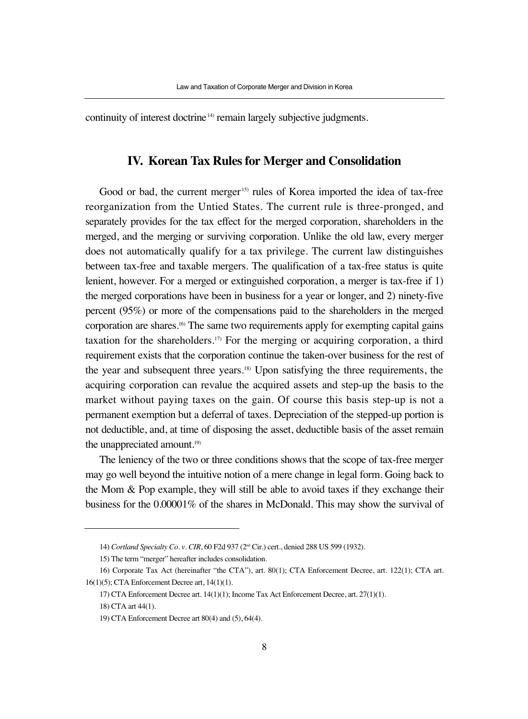continuity of interest doctrine<sup>14)</sup> remain largely subjective judgments.

# **IV. Korean Tax Rules for Merger and Consolidation**

Good or bad, the current merger<sup>15)</sup> rules of Korea imported the idea of tax-free reorganization from the Untied States. The current rule is three-pronged, and separately provides for the tax effect for the merged corporation, shareholders in the merged, and the merging or surviving corporation. Unlike the old law, every merger does not automatically qualify for a tax privilege. The current law distinguishes between tax-free and taxable mergers. The qualification of a tax-free status is quite lenient, however. For a merged or extinguished corporation, a merger is tax-free if 1) the merged corporations have been in business for a year or longer, and 2) ninety-five percent (95%) or more of the compensations paid to the shareholders in the merged corporation are shares.16) The same two requirements apply for exempting capital gains taxation for the shareholders.<sup>17)</sup> For the merging or acquiring corporation, a third requirement exists that the corporation continue the taken-over business for the rest of the year and subsequent three years.18) Upon satisfying the three requirements, the acquiring corporation can revalue the acquired assets and step-up the basis to the market without paying taxes on the gain. Of course this basis step-up is not a permanent exemption but a deferral of taxes. Depreciation of the stepped-up portion is not deductible, and, at time of disposing the asset, deductible basis of the asset remain the unappreciated amount.<sup>19)</sup>

The leniency of the two or three conditions shows that the scope of tax-free merger may go well beyond the intuitive notion of a mere change in legal form. Going back to the Mom & Pop example, they will still be able to avoid taxes if they exchange their business for the 0.00001% of the shares in McDonald. This may show the survival of

<sup>14)</sup> *Cortland Specialty Co. v. CIR*, 60 F2d 937 (2nd Cir.) cert., denied 288 US 599 (1932).

<sup>15)</sup> The term "merger" hereafter includes consolidation.

<sup>16)</sup> Corporate Tax Act (hereinafter "the CTA"), art. 80(1); CTA Enforcement Decree, art. 122(1); CTA art. 16(1)(5); CTA Enforcement Decree art, 14(1)(1).

<sup>17)</sup> CTA Enforcement Decree art. 14(1)(1); Income Tax Act Enforcement Decree, art. 27(1)(1).

<sup>18)</sup> CTA art 44(1).

<sup>19)</sup> CTA Enforcement Decree art 80(4) and (5), 64(4).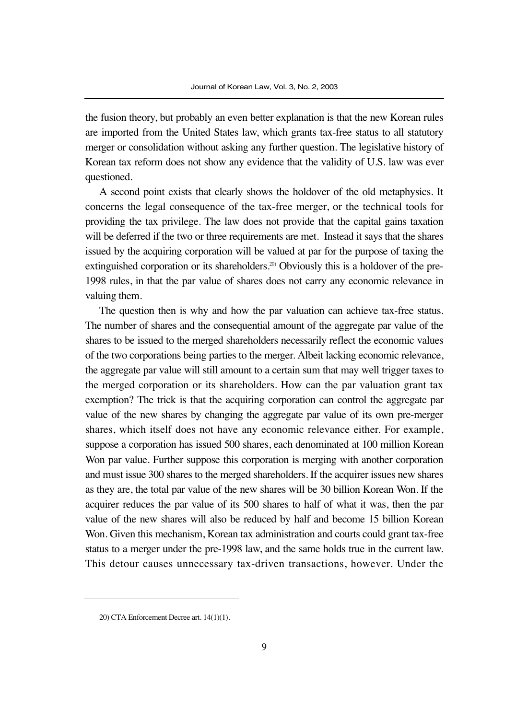the fusion theory, but probably an even better explanation is that the new Korean rules are imported from the United States law, which grants tax-free status to all statutory merger or consolidation without asking any further question. The legislative history of Korean tax reform does not show any evidence that the validity of U.S. law was ever questioned.

A second point exists that clearly shows the holdover of the old metaphysics. It concerns the legal consequence of the tax-free merger, or the technical tools for providing the tax privilege. The law does not provide that the capital gains taxation will be deferred if the two or three requirements are met. Instead it says that the shares issued by the acquiring corporation will be valued at par for the purpose of taxing the extinguished corporation or its shareholders.<sup>20)</sup> Obviously this is a holdover of the pre-1998 rules, in that the par value of shares does not carry any economic relevance in valuing them.

The question then is why and how the par valuation can achieve tax-free status. The number of shares and the consequential amount of the aggregate par value of the shares to be issued to the merged shareholders necessarily reflect the economic values of the two corporations being parties to the merger. Albeit lacking economic relevance, the aggregate par value will still amount to a certain sum that may well trigger taxes to the merged corporation or its shareholders. How can the par valuation grant tax exemption? The trick is that the acquiring corporation can control the aggregate par value of the new shares by changing the aggregate par value of its own pre-merger shares, which itself does not have any economic relevance either. For example, suppose a corporation has issued 500 shares, each denominated at 100 million Korean Won par value. Further suppose this corporation is merging with another corporation and must issue 300 shares to the merged shareholders. If the acquirer issues new shares as they are, the total par value of the new shares will be 30 billion Korean Won. If the acquirer reduces the par value of its 500 shares to half of what it was, then the par value of the new shares will also be reduced by half and become 15 billion Korean Won. Given this mechanism, Korean tax administration and courts could grant tax-free status to a merger under the pre-1998 law, and the same holds true in the current law. This detour causes unnecessary tax-driven transactions, however. Under the

<sup>20)</sup> CTA Enforcement Decree art. 14(1)(1).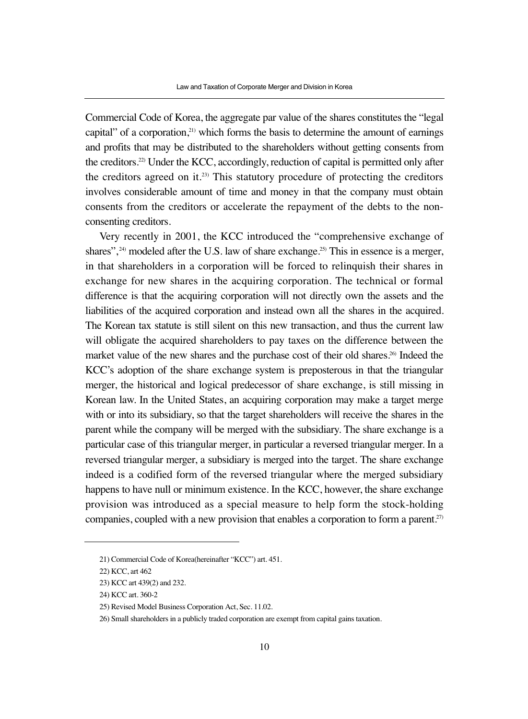Commercial Code of Korea, the aggregate par value of the shares constitutes the "legal capital" of a corporation, $21$ <sup>t</sup>) which forms the basis to determine the amount of earnings and profits that may be distributed to the shareholders without getting consents from the creditors.22) Under the KCC, accordingly, reduction of capital is permitted only after the creditors agreed on it.<sup>23)</sup> This statutory procedure of protecting the creditors involves considerable amount of time and money in that the company must obtain consents from the creditors or accelerate the repayment of the debts to the nonconsenting creditors.

Very recently in 2001, the KCC introduced the "comprehensive exchange of shares",  $24$ ) modeled after the U.S. law of share exchange.<sup>25</sup> This in essence is a merger, in that shareholders in a corporation will be forced to relinquish their shares in exchange for new shares in the acquiring corporation. The technical or formal difference is that the acquiring corporation will not directly own the assets and the liabilities of the acquired corporation and instead own all the shares in the acquired. The Korean tax statute is still silent on this new transaction, and thus the current law will obligate the acquired shareholders to pay taxes on the difference between the market value of the new shares and the purchase cost of their old shares.<sup>26)</sup> Indeed the KCC's adoption of the share exchange system is preposterous in that the triangular merger, the historical and logical predecessor of share exchange, is still missing in Korean law. In the United States, an acquiring corporation may make a target merge with or into its subsidiary, so that the target shareholders will receive the shares in the parent while the company will be merged with the subsidiary. The share exchange is a particular case of this triangular merger, in particular a reversed triangular merger. In a reversed triangular merger, a subsidiary is merged into the target. The share exchange indeed is a codified form of the reversed triangular where the merged subsidiary happens to have null or minimum existence. In the KCC, however, the share exchange provision was introduced as a special measure to help form the stock-holding companies, coupled with a new provision that enables a corporation to form a parent.<sup>27)</sup>

<sup>21)</sup> Commercial Code of Korea(hereinafter "KCC") art. 451.

<sup>22)</sup> KCC, art 462

<sup>23)</sup> KCC art 439(2) and 232.

<sup>24)</sup> KCC art. 360-2

<sup>25)</sup> Revised Model Business Corporation Act, Sec. 11.02.

<sup>26)</sup> Small shareholders in a publicly traded corporation are exempt from capital gains taxation.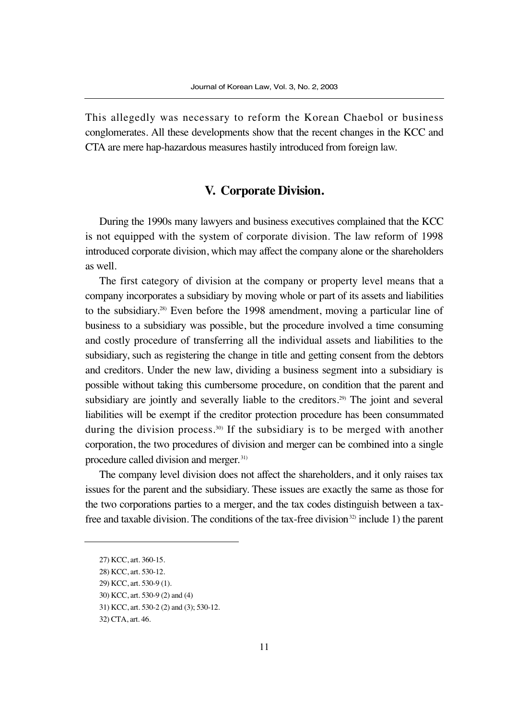This allegedly was necessary to reform the Korean Chaebol or business conglomerates. All these developments show that the recent changes in the KCC and CTA are mere hap-hazardous measures hastily introduced from foreign law.

# **V. Corporate Division.**

During the 1990s many lawyers and business executives complained that the KCC is not equipped with the system of corporate division. The law reform of 1998 introduced corporate division, which may affect the company alone or the shareholders as well.

The first category of division at the company or property level means that a company incorporates a subsidiary by moving whole or part of its assets and liabilities to the subsidiary.28) Even before the 1998 amendment, moving a particular line of business to a subsidiary was possible, but the procedure involved a time consuming and costly procedure of transferring all the individual assets and liabilities to the subsidiary, such as registering the change in title and getting consent from the debtors and creditors. Under the new law, dividing a business segment into a subsidiary is possible without taking this cumbersome procedure, on condition that the parent and subsidiary are jointly and severally liable to the creditors.<sup>29)</sup> The joint and several liabilities will be exempt if the creditor protection procedure has been consummated during the division process.<sup>30)</sup> If the subsidiary is to be merged with another corporation, the two procedures of division and merger can be combined into a single procedure called division and merger. 31)

The company level division does not affect the shareholders, and it only raises tax issues for the parent and the subsidiary. These issues are exactly the same as those for the two corporations parties to a merger, and the tax codes distinguish between a taxfree and taxable division. The conditions of the tax-free division<sup>32)</sup> include 1) the parent

<sup>27)</sup> KCC, art. 360-15.

<sup>28)</sup> KCC, art. 530-12.

<sup>29)</sup> KCC, art. 530-9 (1).

<sup>30)</sup> KCC, art. 530-9 (2) and (4)

<sup>31)</sup> KCC, art. 530-2 (2) and (3); 530-12.

<sup>32)</sup> CTA, art. 46.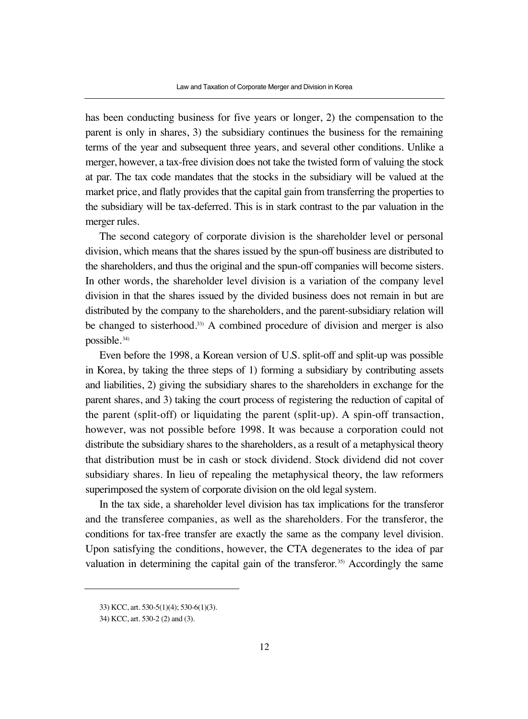has been conducting business for five years or longer, 2) the compensation to the parent is only in shares, 3) the subsidiary continues the business for the remaining terms of the year and subsequent three years, and several other conditions. Unlike a merger, however, a tax-free division does not take the twisted form of valuing the stock at par. The tax code mandates that the stocks in the subsidiary will be valued at the market price, and flatly provides that the capital gain from transferring the properties to the subsidiary will be tax-deferred. This is in stark contrast to the par valuation in the merger rules.

The second category of corporate division is the shareholder level or personal division, which means that the shares issued by the spun-off business are distributed to the shareholders, and thus the original and the spun-off companies will become sisters. In other words, the shareholder level division is a variation of the company level division in that the shares issued by the divided business does not remain in but are distributed by the company to the shareholders, and the parent-subsidiary relation will be changed to sisterhood.<sup>33)</sup> A combined procedure of division and merger is also possible. 34)

Even before the 1998, a Korean version of U.S. split-off and split-up was possible in Korea, by taking the three steps of 1) forming a subsidiary by contributing assets and liabilities, 2) giving the subsidiary shares to the shareholders in exchange for the parent shares, and 3) taking the court process of registering the reduction of capital of the parent (split-off) or liquidating the parent (split-up). A spin-off transaction, however, was not possible before 1998. It was because a corporation could not distribute the subsidiary shares to the shareholders, as a result of a metaphysical theory that distribution must be in cash or stock dividend. Stock dividend did not cover subsidiary shares. In lieu of repealing the metaphysical theory, the law reformers superimposed the system of corporate division on the old legal system.

In the tax side, a shareholder level division has tax implications for the transferor and the transferee companies, as well as the shareholders. For the transferor, the conditions for tax-free transfer are exactly the same as the company level division. Upon satisfying the conditions, however, the CTA degenerates to the idea of par valuation in determining the capital gain of the transferor.<sup>35)</sup> Accordingly the same

<sup>33)</sup> KCC, art. 530-5(1)(4); 530-6(1)(3).

<sup>34)</sup> KCC, art. 530-2 (2) and (3).